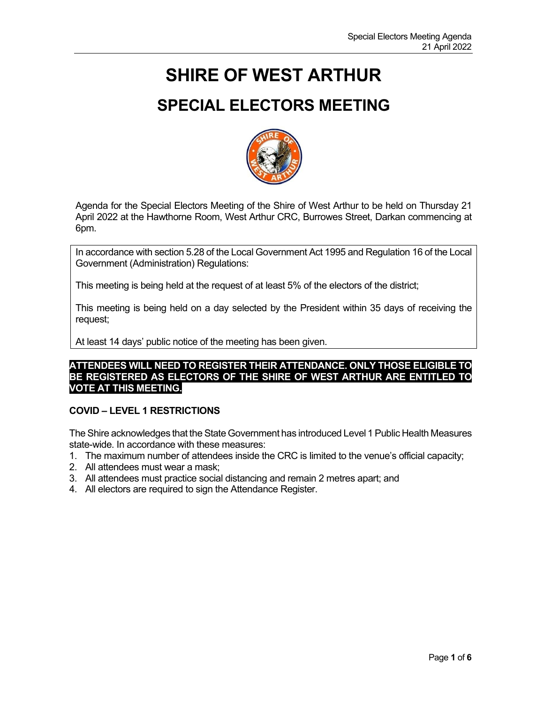# **SHIRE OF WEST ARTHUR**

# **SPECIAL ELECTORS MEETING**



Agenda for the Special Electors Meeting of the Shire of West Arthur to be held on Thursday 21 April 2022 at the Hawthorne Room, West Arthur CRC, Burrowes Street, Darkan commencing at 6pm.

In accordance with section 5.28 of the Local Government Act 1995 and Regulation 16 of the Local Government (Administration) Regulations:

This meeting is being held at the request of at least 5% of the electors of the district;

This meeting is being held on a day selected by the President within 35 days of receiving the request;

At least 14 days' public notice of the meeting has been given.

# **ATTENDEES WILL NEED TO REGISTER THEIR ATTENDANCE. ONLY THOSE ELIGIBLE TO BE REGISTERED AS ELECTORS OF THE SHIRE OF WEST ARTHUR ARE ENTITLED TO VOTE AT THIS MEETING.**

# **COVID – LEVEL 1 RESTRICTIONS**

The Shire acknowledges that the State Government has introduced Level 1 Public Health Measures state-wide. In accordance with these measures:

- 1. The maximum number of attendees inside the CRC is limited to the venue's official capacity;
- 2. All attendees must wear a mask;
- 3. All attendees must practice social distancing and remain 2 metres apart; and
- 4. All electors are required to sign the Attendance Register.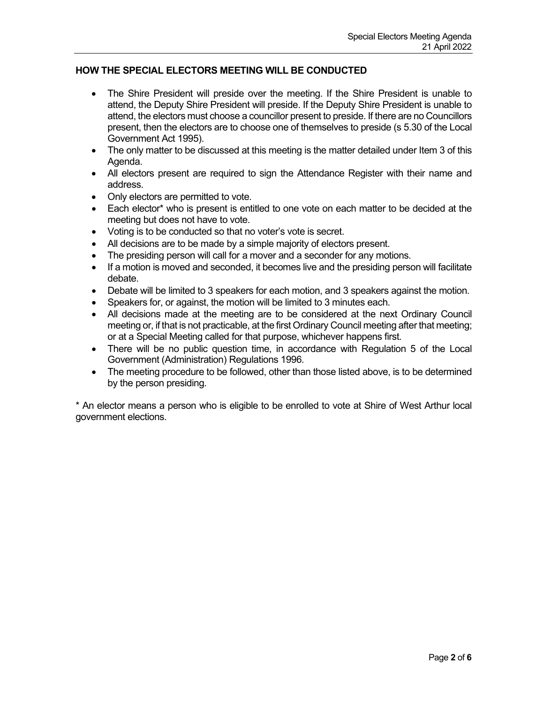# **HOW THE SPECIAL ELECTORS MEETING WILL BE CONDUCTED**

- The Shire President will preside over the meeting. If the Shire President is unable to attend, the Deputy Shire President will preside. If the Deputy Shire President is unable to attend, the electors must choose a councillor present to preside. If there are no Councillors present, then the electors are to choose one of themselves to preside (s 5.30 of the Local Government Act 1995).
- The only matter to be discussed at this meeting is the matter detailed under Item 3 of this Agenda.
- All electors present are required to sign the Attendance Register with their name and address.
- Only electors are permitted to vote.
- Each elector\* who is present is entitled to one vote on each matter to be decided at the meeting but does not have to vote.
- Voting is to be conducted so that no voter's vote is secret.
- All decisions are to be made by a simple majority of electors present.
- The presiding person will call for a mover and a seconder for any motions.
- If a motion is moved and seconded, it becomes live and the presiding person will facilitate debate.
- Debate will be limited to 3 speakers for each motion, and 3 speakers against the motion.
- Speakers for, or against, the motion will be limited to 3 minutes each.
- All decisions made at the meeting are to be considered at the next Ordinary Council meeting or, if that is not practicable, at the first Ordinary Council meeting after that meeting; or at a Special Meeting called for that purpose, whichever happens first.
- There will be no public question time, in accordance with Regulation 5 of the Local Government (Administration) Regulations 1996.
- The meeting procedure to be followed, other than those listed above, is to be determined by the person presiding.

\* An elector means a person who is eligible to be enrolled to vote at Shire of West Arthur local government elections.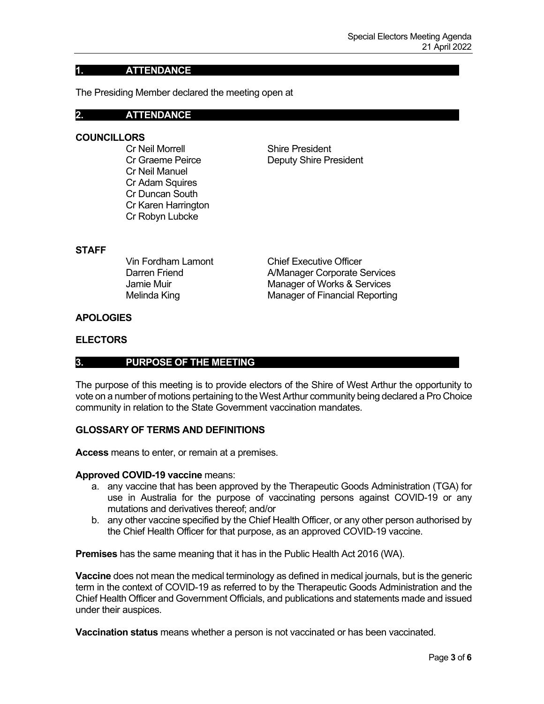# **1. ATTENDANCE**

The Presiding Member declared the meeting open at

#### **2. ATTENDANCE**

### **COUNCILLORS**

Cr Neil Morrell Shire President Cr Neil Manuel Cr Adam Squires Cr Duncan South Cr Karen Harrington Cr Robyn Lubcke

Cr Graeme Peirce **Deputy Shire President** 

### **STAFF**

Vin Fordham Lamont Chief Executive Officer Darren Friend **A/Manager Corporate Services** Jamie Muir **Manager of Works & Services** Melinda King Manager of Financial Reporting

# **APOLOGIES**

#### **ELECTORS**

## **3. PURPOSE OF THE MEETING**

The purpose of this meeting is to provide electors of the Shire of West Arthur the opportunity to vote on a number of motions pertaining to the West Arthur community being declared a Pro Choice community in relation to the State Government vaccination mandates.

## **GLOSSARY OF TERMS AND DEFINITIONS**

**Access** means to enter, or remain at a premises.

#### **Approved COVID-19 vaccine** means:

- a. any vaccine that has been approved by the Therapeutic Goods Administration (TGA) for use in Australia for the purpose of vaccinating persons against COVID-19 or any mutations and derivatives thereof; and/or
- b. any other vaccine specified by the Chief Health Officer, or any other person authorised by the Chief Health Officer for that purpose, as an approved COVID-19 vaccine.

**Premises** has the same meaning that it has in the Public Health Act 2016 (WA).

**Vaccine** does not mean the medical terminology as defined in medical journals, but is the generic term in the context of COVID-19 as referred to by the Therapeutic Goods Administration and the Chief Health Officer and Government Officials, and publications and statements made and issued under their auspices.

**Vaccination status** means whether a person is not vaccinated or has been vaccinated.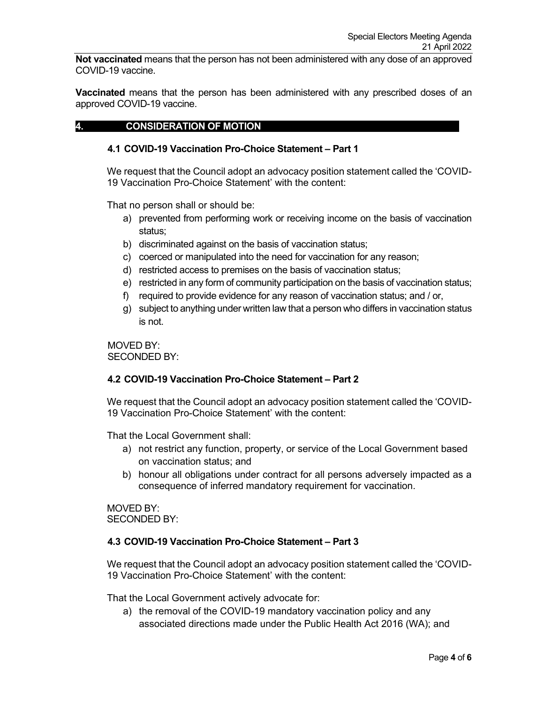**Not vaccinated** means that the person has not been administered with any dose of an approved COVID-19 vaccine.

**Vaccinated** means that the person has been administered with any prescribed doses of an approved COVID-19 vaccine.

## **4. CONSIDERATION OF MOTION**

#### **4.1 COVID-19 Vaccination Pro-Choice Statement – Part 1**

We request that the Council adopt an advocacy position statement called the 'COVID-19 Vaccination Pro-Choice Statement' with the content:

That no person shall or should be:

- a) prevented from performing work or receiving income on the basis of vaccination status;
- b) discriminated against on the basis of vaccination status;
- c) coerced or manipulated into the need for vaccination for any reason;
- d) restricted access to premises on the basis of vaccination status;
- e) restricted in any form of community participation on the basis of vaccination status;
- f) required to provide evidence for any reason of vaccination status; and / or,
- g) subject to anything under written law that a person who differs in vaccination status is not.

MOVED BY: SECONDED BY:

## **4.2 COVID-19 Vaccination Pro-Choice Statement – Part 2**

We request that the Council adopt an advocacy position statement called the 'COVID-19 Vaccination Pro-Choice Statement' with the content:

That the Local Government shall:

- a) not restrict any function, property, or service of the Local Government based on vaccination status; and
- b) honour all obligations under contract for all persons adversely impacted as a consequence of inferred mandatory requirement for vaccination.

MOVED BY: SECONDED BY:

#### **4.3 COVID-19 Vaccination Pro-Choice Statement – Part 3**

We request that the Council adopt an advocacy position statement called the 'COVID-19 Vaccination Pro-Choice Statement' with the content:

That the Local Government actively advocate for:

a) the removal of the COVID-19 mandatory vaccination policy and any associated directions made under the Public Health Act 2016 (WA); and